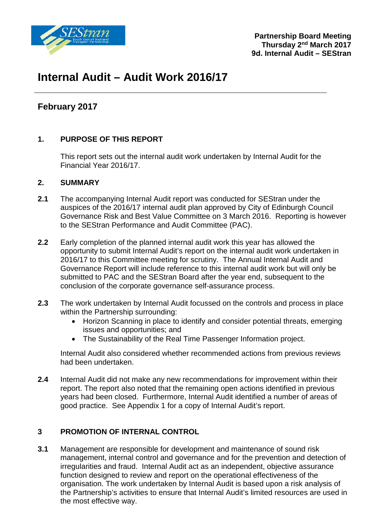

## **Internal Audit – Audit Work 2016/17**

### **February 2017**

### **1. PURPOSE OF THIS REPORT**

This report sets out the internal audit work undertaken by Internal Audit for the Financial Year 2016/17.

### **2. SUMMARY**

- **2.1** The accompanying Internal Audit report was conducted for SEStran under the auspices of the 2016/17 internal audit plan approved by City of Edinburgh Council Governance Risk and Best Value Committee on 3 March 2016. Reporting is however to the SEStran Performance and Audit Committee (PAC).
- **2.2** Early completion of the planned internal audit work this year has allowed the opportunity to submit Internal Audit's report on the internal audit work undertaken in 2016/17 to this Committee meeting for scrutiny. The Annual Internal Audit and Governance Report will include reference to this internal audit work but will only be submitted to PAC and the SEStran Board after the year end, subsequent to the conclusion of the corporate governance self-assurance process.
- **2.3** The work undertaken by Internal Audit focussed on the controls and process in place within the Partnership surrounding:
	- Horizon Scanning in place to identify and consider potential threats, emerging issues and opportunities; and
	- The Sustainability of the Real Time Passenger Information project.

Internal Audit also considered whether recommended actions from previous reviews had been undertaken.

**2.4** Internal Audit did not make any new recommendations for improvement within their report. The report also noted that the remaining open actions identified in previous years had been closed. Furthermore, Internal Audit identified a number of areas of good practice. See Appendix 1 for a copy of Internal Audit's report.

### **3 PROMOTION OF INTERNAL CONTROL**

**3.1** Management are responsible for development and maintenance of sound risk management, internal control and governance and for the prevention and detection of irregularities and fraud. Internal Audit act as an independent, objective assurance function designed to review and report on the operational effectiveness of the organisation. The work undertaken by Internal Audit is based upon a risk analysis of the Partnership's activities to ensure that Internal Audit's limited resources are used in the most effective way.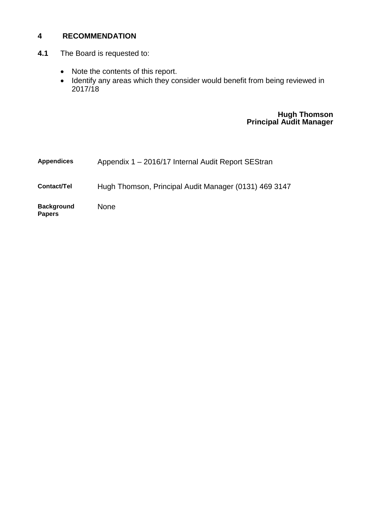### **4 RECOMMENDATION**

- **4.1** The Board is requested to:
	- Note the contents of this report.
	- Identify any areas which they consider would benefit from being reviewed in 2017/18

### **Hugh Thomson Principal Audit Manager**

| <b>Appendices</b>                  | Appendix 1 - 2016/17 Internal Audit Report SEStran    |
|------------------------------------|-------------------------------------------------------|
| Contact/Tel                        | Hugh Thomson, Principal Audit Manager (0131) 469 3147 |
| <b>Background</b><br><b>Papers</b> | <b>None</b>                                           |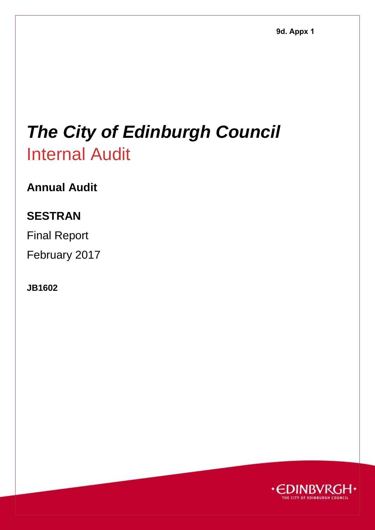# *The City of Edinburgh Council*  Internal Audit

## **Annual Audit**

## **SESTRAN**

Final Report

February 2017

**JB1602** 

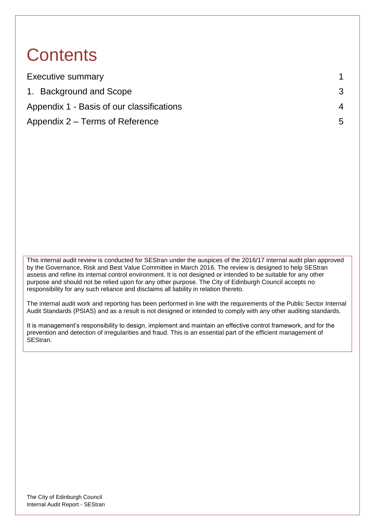## **Contents**

| <b>Executive summary</b>                  |             |
|-------------------------------------------|-------------|
| 1. Background and Scope                   |             |
| Appendix 1 - Basis of our classifications | 4           |
| Appendix 2 – Terms of Reference           | $5^{\circ}$ |

This internal audit review is conducted for SEStran under the auspices of the 2016/17 internal audit plan approved by the Governance, Risk and Best Value Committee in March 2016. The review is designed to help SEStran assess and refine its internal control environment. It is not designed or intended to be suitable for any other purpose and should not be relied upon for any other purpose. The City of Edinburgh Council accepts no responsibility for any such reliance and disclaims all liability in relation thereto.

The internal audit work and reporting has been performed in line with the requirements of the Public Sector Internal Audit Standards (PSIAS) and as a result is not designed or intended to comply with any other auditing standards.

It is management's responsibility to design, implement and maintain an effective control framework, and for the prevention and detection of irregularities and fraud. This is an essential part of the efficient management of SEStran.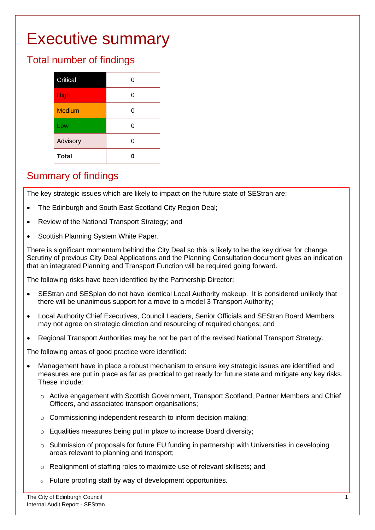## <span id="page-4-0"></span>Executive summary

## Total number of findings

### Summary of findings

The key strategic issues which are likely to impact on the future state of SEStran are:

- The Edinburgh and South East Scotland City Region Deal;
- Review of the National Transport Strategy; and
- Scottish Planning System White Paper.

There is significant momentum behind the City Deal so this is likely to be the key driver for change. Scrutiny of previous City Deal Applications and the Planning Consultation document gives an indication that an integrated Planning and Transport Function will be required going forward.

The following risks have been identified by the Partnership Director:

- SEStran and SESplan do not have identical Local Authority makeup. It is considered unlikely that there will be unanimous support for a move to a model 3 Transport Authority;
- Local Authority Chief Executives, Council Leaders, Senior Officials and SEStran Board Members may not agree on strategic direction and resourcing of required changes; and
- Regional Transport Authorities may be not be part of the revised National Transport Strategy.

The following areas of good practice were identified:

- Management have in place a robust mechanism to ensure key strategic issues are identified and measures are put in place as far as practical to get ready for future state and mitigate any key risks. These include:
	- o Active engagement with Scottish Government, Transport Scotland, Partner Members and Chief Officers, and associated transport organisations;
	- o Commissioning independent research to inform decision making;
	- o Equalities measures being put in place to increase Board diversity;
	- $\circ$  Submission of proposals for future EU funding in partnership with Universities in developing areas relevant to planning and transport;
	- o Realignment of staffing roles to maximize use of relevant skillsets; and
	- o Future proofing staff by way of development opportunities.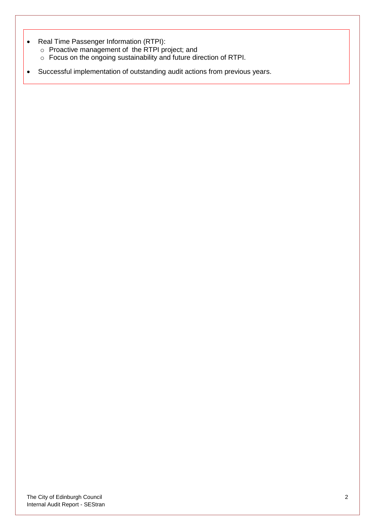- Real Time Passenger Information (RTPI):
	- o Proactive management of the RTPI project; and
	- o Focus on the ongoing sustainability and future direction of RTPI.
- Successful implementation of outstanding audit actions from previous years.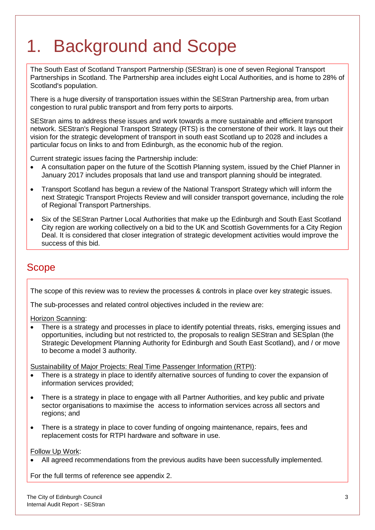## <span id="page-6-0"></span>1. Background and Scope

The South East of Scotland Transport Partnership (SEStran) is one of seven Regional Transport Partnerships in Scotland. The Partnership area includes eight Local Authorities, and is home to 28% of Scotland's population.

There is a huge diversity of transportation issues within the SEStran Partnership area, from urban congestion to rural public transport and from ferry ports to airports.

SEStran aims to address these issues and work towards a more sustainable and efficient transport network. SEStran's Regional Transport Strategy (RTS) is the cornerstone of their work. It lays out their vision for the strategic development of transport in south east Scotland up to 2028 and includes a particular focus on links to and from Edinburgh, as the economic hub of the region.

Current strategic issues facing the Partnership include:

- A consultation paper on the future of the Scottish Planning system, issued by the Chief Planner in January 2017 includes proposals that land use and transport planning should be integrated.
- Transport Scotland has begun a review of the National Transport Strategy which will inform the next Strategic Transport Projects Review and will consider transport governance, including the role of Regional Transport Partnerships.
- Six of the SEStran Partner Local Authorities that make up the Edinburgh and South East Scotland City region are working collectively on a bid to the UK and Scottish Governments for a City Region Deal. It is considered that closer integration of strategic development activities would improve the success of this bid.

### Scope

The scope of this review was to review the processes & controls in place over key strategic issues.

The sub-processes and related control objectives included in the review are:

Horizon Scanning:

 There is a strategy and processes in place to identify potential threats, risks, emerging issues and opportunities, including but not restricted to, the proposals to realign SEStran and SESplan (the Strategic Development Planning Authority for Edinburgh and South East Scotland), and / or move to become a model 3 authority.

Sustainability of Major Projects: Real Time Passenger Information (RTPI):

- There is a strategy in place to identify alternative sources of funding to cover the expansion of information services provided;
- There is a strategy in place to engage with all Partner Authorities, and key public and private sector organisations to maximise the access to information services across all sectors and regions; and
- There is a strategy in place to cover funding of ongoing maintenance, repairs, fees and replacement costs for RTPI hardware and software in use.

Follow Up Work:

All agreed recommendations from the previous audits have been successfully implemented.

For the full terms of reference see appendix 2.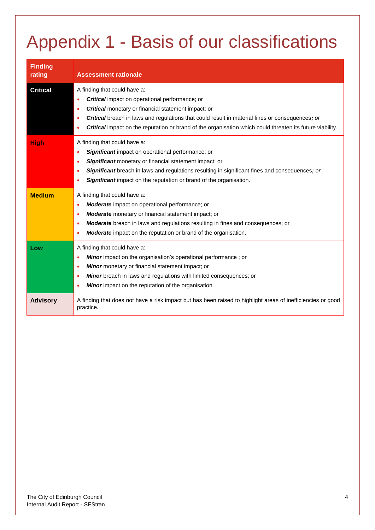# <span id="page-7-0"></span>Appendix 1 - Basis of our classifications

| <b>Finding</b><br>rating | <b>Assessment rationale</b>                                                                                                                                                                                                                                                                                                                                                |
|--------------------------|----------------------------------------------------------------------------------------------------------------------------------------------------------------------------------------------------------------------------------------------------------------------------------------------------------------------------------------------------------------------------|
| <b>Critical</b>          | A finding that could have a:<br><b>Critical</b> impact on operational performance; or<br><b>Critical</b> monetary or financial statement impact; or<br><b>Critical</b> breach in laws and regulations that could result in material fines or consequences; or<br>Critical impact on the reputation or brand of the organisation which could threaten its future viability. |
| <b>High</b>              | A finding that could have a:<br><b>Significant</b> impact on operational performance; or<br>$\bullet$<br>Significant monetary or financial statement impact; or<br>$\bullet$<br>Significant breach in laws and regulations resulting in significant fines and consequences; or<br>$\bullet$<br><b>Significant</b> impact on the reputation or brand of the organisation.   |
| <b>Medium</b>            | A finding that could have a:<br><b>Moderate</b> impact on operational performance; or<br>$\bullet$<br>Moderate monetary or financial statement impact; or<br>$\bullet$<br>Moderate breach in laws and regulations resulting in fines and consequences; or<br>۰<br>Moderate impact on the reputation or brand of the organisation.<br>$\bullet$                             |
| Low                      | A finding that could have a:<br><b>Minor</b> impact on the organisation's operational performance; or<br>٠<br>Minor monetary or financial statement impact; or<br>٠<br>Minor breach in laws and regulations with limited consequences; or<br>Minor impact on the reputation of the organisation.<br>٠                                                                      |
| <b>Advisory</b>          | A finding that does not have a risk impact but has been raised to highlight areas of inefficiencies or good<br>practice.                                                                                                                                                                                                                                                   |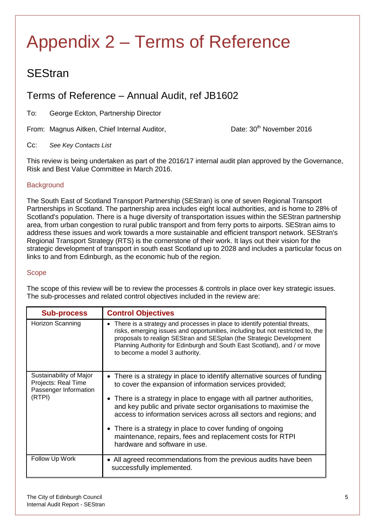## <span id="page-8-0"></span>Appendix 2 – Terms of Reference

## **SEStran**

### Terms of Reference – Annual Audit, ref JB1602

To: George Eckton, Partnership Director

From: Magnus Aitken, Chief Internal Auditor, Date: 30<sup>th</sup> November 2016

### Cc: *See Key Contacts List*

This review is being undertaken as part of the 2016/17 internal audit plan approved by the Governance, Risk and Best Value Committee in March 2016.

### **Background**

The South East of Scotland Transport Partnership (SEStran) is one of seven Regional Transport Partnerships in Scotland. The partnership area includes eight local authorities, and is home to 28% of Scotland's population. There is a huge diversity of transportation issues within the SEStran partnership area, from urban congestion to rural public transport and from ferry ports to airports. SEStran aims to address these issues and work towards a more sustainable and efficient transport network. SEStran's Regional Transport Strategy (RTS) is the cornerstone of their work. It lays out their vision for the strategic development of transport in south east Scotland up to 2028 and includes a particular focus on links to and from Edinburgh, as the economic hub of the region.

#### **Scope**

The scope of this review will be to review the processes & controls in place over key strategic issues. The sub-processes and related control objectives included in the review are:

| <b>Sub-process</b>                                                                | <b>Control Objectives</b>                                                                                                                                                                                                                                                                                                                                                                                                                                                                                            |
|-----------------------------------------------------------------------------------|----------------------------------------------------------------------------------------------------------------------------------------------------------------------------------------------------------------------------------------------------------------------------------------------------------------------------------------------------------------------------------------------------------------------------------------------------------------------------------------------------------------------|
| Horizon Scanning                                                                  | • There is a strategy and processes in place to identify potential threats,<br>risks, emerging issues and opportunities, including but not restricted to, the<br>proposals to realign SEStran and SESplan (the Strategic Development<br>Planning Authority for Edinburgh and South East Scotland), and / or move<br>to become a model 3 authority.                                                                                                                                                                   |
| Sustainability of Major<br>Projects: Real Time<br>Passenger Information<br>(RTPI) | • There is a strategy in place to identify alternative sources of funding<br>to cover the expansion of information services provided;<br>• There is a strategy in place to engage with all partner authorities,<br>and key public and private sector organisations to maximise the<br>access to information services across all sectors and regions; and<br>• There is a strategy in place to cover funding of ongoing<br>maintenance, repairs, fees and replacement costs for RTPI<br>hardware and software in use. |
| Follow Up Work                                                                    | • All agreed recommendations from the previous audits have been<br>successfully implemented.                                                                                                                                                                                                                                                                                                                                                                                                                         |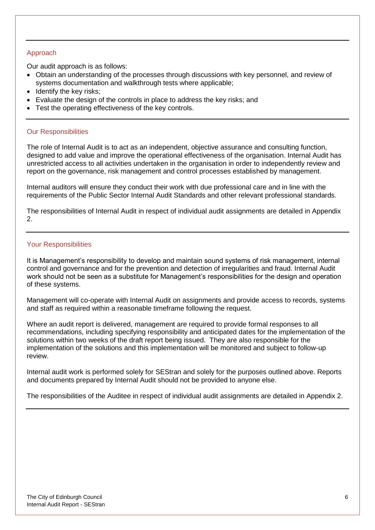#### Approach

Our audit approach is as follows:

- Obtain an understanding of the processes through discussions with key personnel, and review of systems documentation and walkthrough tests where applicable;
- $\bullet$  Identify the key risks;
- Evaluate the design of the controls in place to address the key risks; and
- Test the operating effectiveness of the key controls.

#### Our Responsibilities

The role of Internal Audit is to act as an independent, objective assurance and consulting function, designed to add value and improve the operational effectiveness of the organisation. Internal Audit has unrestricted access to all activities undertaken in the organisation in order to independently review and report on the governance, risk management and control processes established by management.

Internal auditors will ensure they conduct their work with due professional care and in line with the requirements of the Public Sector Internal Audit Standards and other relevant professional standards.

The responsibilities of Internal Audit in respect of individual audit assignments are detailed in Appendix 2.

### Your Responsibilities

It is Management's responsibility to develop and maintain sound systems of risk management, internal control and governance and for the prevention and detection of irregularities and fraud. Internal Audit work should not be seen as a substitute for Management's responsibilities for the design and operation of these systems.

Management will co-operate with Internal Audit on assignments and provide access to records, systems and staff as required within a reasonable timeframe following the request.

Where an audit report is delivered, management are required to provide formal responses to all recommendations, including specifying responsibility and anticipated dates for the implementation of the solutions within two weeks of the draft report being issued. They are also responsible for the implementation of the solutions and this implementation will be monitored and subject to follow-up review.

Internal audit work is performed solely for SEStran and solely for the purposes outlined above. Reports and documents prepared by Internal Audit should not be provided to anyone else.

The responsibilities of the Auditee in respect of individual audit assignments are detailed in Appendix 2.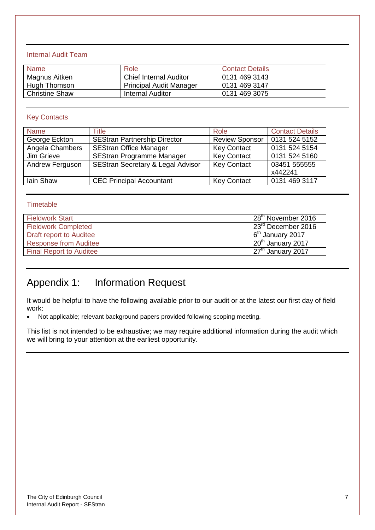### Internal Audit Team

| <b>Name</b>           | Role                           | <b>Contact Details</b> |
|-----------------------|--------------------------------|------------------------|
| Magnus Aitken         | <b>Chief Internal Auditor</b>  | 0131 469 3143          |
| Hugh Thomson          | <b>Principal Audit Manager</b> | 0131 469 3147          |
| <b>Christine Shaw</b> | Internal Auditor               | 0131 469 3075          |

### Key Contacts

| <b>Name</b>     | Title                                        | Role                  | <b>Contact Details</b> |
|-----------------|----------------------------------------------|-----------------------|------------------------|
| George Eckton   | <b>SEStran Partnership Director</b>          | <b>Review Sponsor</b> | 0131 524 5152          |
| Angela Chambers | <b>SEStran Office Manager</b>                | <b>Key Contact</b>    | 0131 524 5154          |
| Jim Grieve      | <b>SEStran Programme Manager</b>             | <b>Key Contact</b>    | 0131 524 5160          |
| Andrew Ferguson | <b>SEStran Secretary &amp; Legal Advisor</b> | <b>Key Contact</b>    | 03451 555555           |
|                 |                                              |                       | x442241                |
| Iain Shaw       | <b>CEC Principal Accountant</b>              | <b>Key Contact</b>    | 0131 469 3117          |

#### **Timetable**

| <b>Fieldwork Start</b>         | 28 <sup>th</sup><br>November 2016 |
|--------------------------------|-----------------------------------|
| <b>Fieldwork Completed</b>     | <sup>מק</sup> פ<br>December 2016  |
| Draft report to Auditee        | 6 <sup>th</sup><br>January 2017   |
| <b>Response from Auditee</b>   | 20 <sup>th</sup><br>January 2017  |
| <b>Final Report to Auditee</b> | $127th$ January 2017              |
|                                |                                   |

### Appendix 1: Information Request

It would be helpful to have the following available prior to our audit or at the latest our first day of field work:

Not applicable; relevant background papers provided following scoping meeting.

This list is not intended to be exhaustive; we may require additional information during the audit which we will bring to your attention at the earliest opportunity.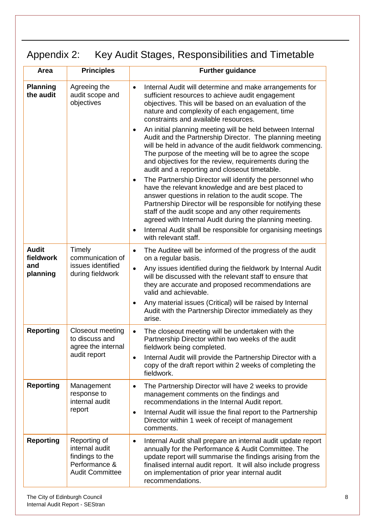## Appendix 2: Key Audit Stages, Responsibilities and Timetable

| Area                                         | <b>Principles</b>                                                                            | <b>Further guidance</b>                                                                                                                                                                                                                                                                                                                                               |
|----------------------------------------------|----------------------------------------------------------------------------------------------|-----------------------------------------------------------------------------------------------------------------------------------------------------------------------------------------------------------------------------------------------------------------------------------------------------------------------------------------------------------------------|
| <b>Planning</b><br>the audit                 | Agreeing the<br>audit scope and<br>objectives                                                | Internal Audit will determine and make arrangements for<br>$\bullet$<br>sufficient resources to achieve audit engagement<br>objectives. This will be based on an evaluation of the<br>nature and complexity of each engagement, time<br>constraints and available resources.                                                                                          |
|                                              |                                                                                              | An initial planning meeting will be held between Internal<br>$\bullet$<br>Audit and the Partnership Director. The planning meeting<br>will be held in advance of the audit fieldwork commencing.<br>The purpose of the meeting will be to agree the scope<br>and objectives for the review, requirements during the<br>audit and a reporting and closeout timetable.  |
|                                              |                                                                                              | The Partnership Director will identify the personnel who<br>$\bullet$<br>have the relevant knowledge and are best placed to<br>answer questions in relation to the audit scope. The<br>Partnership Director will be responsible for notifying these<br>staff of the audit scope and any other requirements<br>agreed with Internal Audit during the planning meeting. |
|                                              |                                                                                              | Internal Audit shall be responsible for organising meetings<br>$\bullet$<br>with relevant staff.                                                                                                                                                                                                                                                                      |
| <b>Audit</b><br>fieldwork<br>and<br>planning | Timely<br>communication of<br>issues identified<br>during fieldwork                          | The Auditee will be informed of the progress of the audit<br>$\bullet$<br>on a regular basis.<br>Any issues identified during the fieldwork by Internal Audit<br>$\bullet$<br>will be discussed with the relevant staff to ensure that<br>they are accurate and proposed recommendations are<br>valid and achievable.                                                 |
|                                              |                                                                                              | Any material issues (Critical) will be raised by Internal<br>$\bullet$<br>Audit with the Partnership Director immediately as they<br>arise.                                                                                                                                                                                                                           |
| <b>Reporting</b>                             | Closeout meeting<br>to discuss and<br>agree the internal                                     | The closeout meeting will be undertaken with the<br>$\bullet$<br>Partnership Director within two weeks of the audit<br>fieldwork being completed.                                                                                                                                                                                                                     |
|                                              | audit report                                                                                 | Internal Audit will provide the Partnership Director with a<br>$\bullet$<br>copy of the draft report within 2 weeks of completing the<br>fieldwork.                                                                                                                                                                                                                   |
| <b>Reporting</b>                             | Management<br>response to<br>internal audit                                                  | The Partnership Director will have 2 weeks to provide<br>$\bullet$<br>management comments on the findings and<br>recommendations in the Internal Audit report.                                                                                                                                                                                                        |
|                                              | report                                                                                       | Internal Audit will issue the final report to the Partnership<br>$\bullet$<br>Director within 1 week of receipt of management<br>comments.                                                                                                                                                                                                                            |
| <b>Reporting</b>                             | Reporting of<br>internal audit<br>findings to the<br>Performance &<br><b>Audit Committee</b> | Internal Audit shall prepare an internal audit update report<br>$\bullet$<br>annually for the Performance & Audit Committee. The<br>update report will summarise the findings arising from the<br>finalised internal audit report. It will also include progress<br>on implementation of prior year internal audit<br>recommendations.                                |